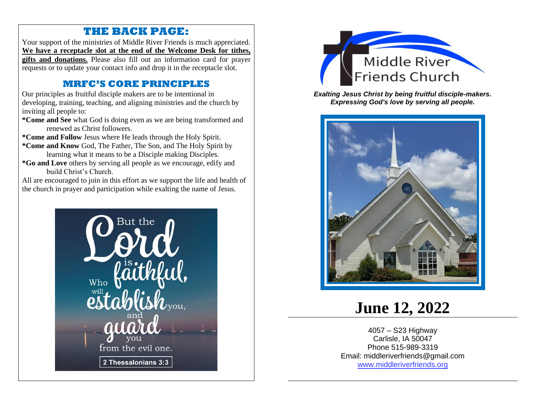#### **THE BACK PAGE:**

Your support of the ministries of Middle River Friends is much appreciated. **We have a receptacle slot at the end of the Welcome Desk for tithes, gifts and donations.** Please also fill out an information card for prayer requests or to update your contact info and drop it in the receptacle slot.

#### **MRFC'S CORE PRINCIPLES**

Our principles as fruitful disciple makers are to be intentional in developing, training, teaching, and aligning ministries and the church by inviting all people to:

**\*Come and See** what God is doing even as we are being transformed and renewed as Christ followers.

**\*Come and Follow** Jesus where He leads through the Holy Spirit.

**\*Come and Know** God, The Father, The Son, and The Holy Spirit by learning what it means to be a Disciple making Disciples.

**\*Go and Love** others by serving all people as we encourage, edify and build Christ's Church.

All are encouraged to join in this effort as we support the life and health of the church in prayer and participation while exalting the name of Jesus.





*Exalting Jesus Christ by being fruitful disciple-makers. Expressing God's love by serving all people.*



# **June 12, 2022**

4057 – S23 Highway Carlisle, IA 50047 Phone 515-989-3319 Email: middleriverfriends@gmail.com [www.middleriverfriends.org](http://www.middleriverfriends.org/)